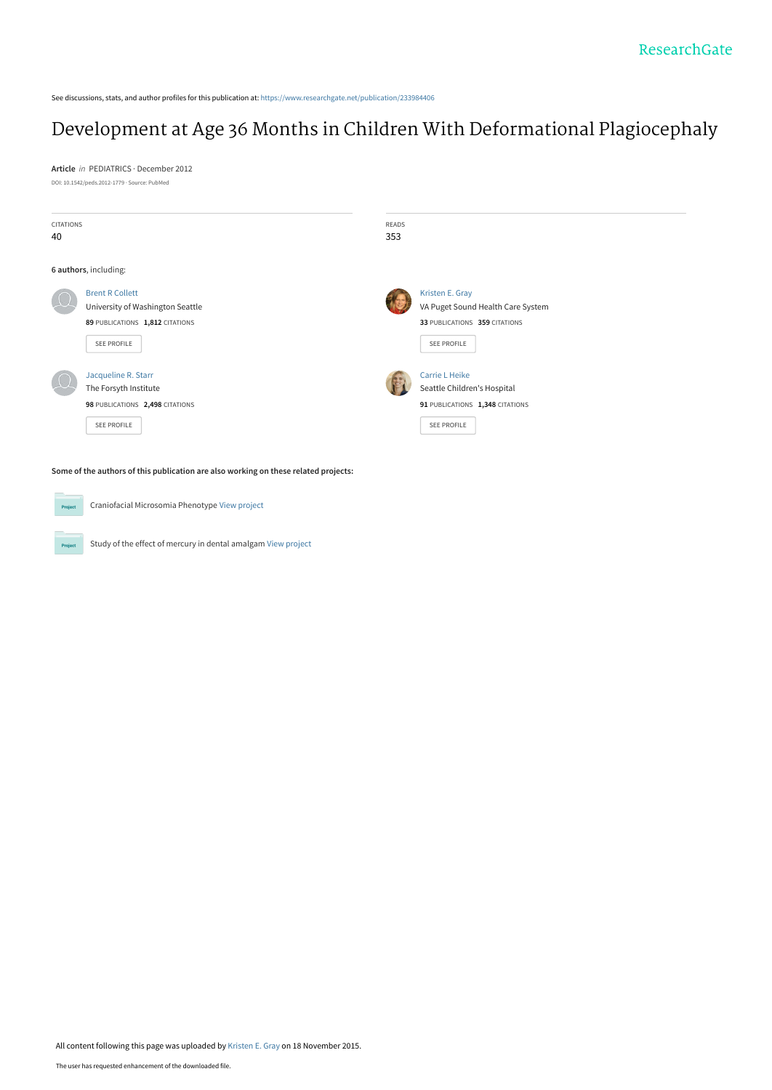See discussions, stats, and author profiles for this publication at: [https://www.researchgate.net/publication/233984406](https://www.researchgate.net/publication/233984406_Development_at_Age_36_Months_in_Children_With_Deformational_Plagiocephaly?enrichId=rgreq-65e1e91f251f5f1a29d6fe42ea87b432-XXX&enrichSource=Y292ZXJQYWdlOzIzMzk4NDQwNjtBUzoyOTcxNzE4NzExMjU1MDRAMTQ0Nzg2MjcwMzM2NQ%3D%3D&el=1_x_2&_esc=publicationCoverPdf)

### [Development at Age 36 Months in Children With Deformational Plagiocephaly](https://www.researchgate.net/publication/233984406_Development_at_Age_36_Months_in_Children_With_Deformational_Plagiocephaly?enrichId=rgreq-65e1e91f251f5f1a29d6fe42ea87b432-XXX&enrichSource=Y292ZXJQYWdlOzIzMzk4NDQwNjtBUzoyOTcxNzE4NzExMjU1MDRAMTQ0Nzg2MjcwMzM2NQ%3D%3D&el=1_x_3&_esc=publicationCoverPdf)

**Article** in PEDIATRICS · December 2012 DOI: 10.1542/peds.2012-1779 · Source: PubMed

| <b>CITATIONS</b><br>40 |                                                                                                              | READS<br>353 |                                                                                                        |
|------------------------|--------------------------------------------------------------------------------------------------------------|--------------|--------------------------------------------------------------------------------------------------------|
|                        | 6 authors, including:                                                                                        |              |                                                                                                        |
|                        | <b>Brent R Collett</b><br>University of Washington Seattle<br>89 PUBLICATIONS 1,812 CITATIONS<br>SEE PROFILE |              | Kristen E. Gray<br>VA Puget Sound Health Care System<br>33 PUBLICATIONS 359 CITATIONS<br>SEE PROFILE   |
|                        | Jacqueline R. Starr<br>The Forsyth Institute<br>98 PUBLICATIONS 2,498 CITATIONS<br><b>SEE PROFILE</b>        |              | Carrie L Heike<br>Seattle Children's Hospital<br>91 PUBLICATIONS 1,348 CITATIONS<br><b>SEE PROFILE</b> |

**Some of the authors of this publication are also working on these related projects:**

Craniofacial Microsomia Phenotype [View project](https://www.researchgate.net/project/Craniofacial-Microsomia-Phenotype?enrichId=rgreq-65e1e91f251f5f1a29d6fe42ea87b432-XXX&enrichSource=Y292ZXJQYWdlOzIzMzk4NDQwNjtBUzoyOTcxNzE4NzExMjU1MDRAMTQ0Nzg2MjcwMzM2NQ%3D%3D&el=1_x_9&_esc=publicationCoverPdf) **Project** Study of the effect of mercury in dental amalgam [View project](https://www.researchgate.net/project/Study-of-the-effect-of-mercury-in-dental-amalgam?enrichId=rgreq-65e1e91f251f5f1a29d6fe42ea87b432-XXX&enrichSource=Y292ZXJQYWdlOzIzMzk4NDQwNjtBUzoyOTcxNzE4NzExMjU1MDRAMTQ0Nzg2MjcwMzM2NQ%3D%3D&el=1_x_9&_esc=publicationCoverPdf) .<br>Proj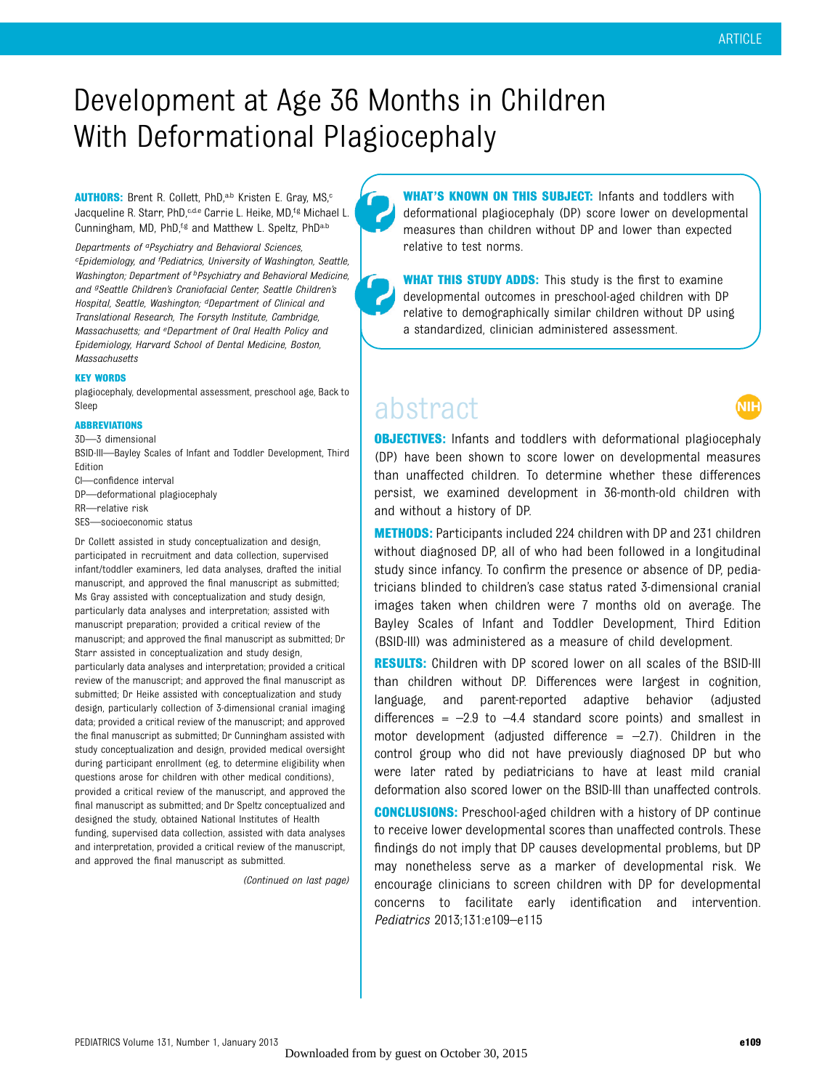## Development at Age 36 Months in Children With Deformational Plagiocephaly

AUTHORS: Brent R. Collett, PhD,<sup>a,b</sup> Kristen E. Gray, MS,<sup>c</sup> Jacqueline R. Starr, PhD,<sup>c,d,e</sup> Carrie L. Heike, MD,<sup>f,g</sup> Michael L. Cunningham, MD, PhD,<sup>f,g</sup> and Matthew L. Speltz, PhD<sup>a,b</sup>

Departments of aPsychiatry and Behavioral Sciences, <sup>c</sup>Epidemiology, and <sup>f</sup>Pediatrics, University of Washington, Seattle, Washington; Department of <sup>b</sup>Psychiatry and Behavioral Medicine, and <sup>g</sup>Seattle Children's Craniofacial Center, Seattle Children's Hospital, Seattle, Washington; <sup>d</sup>Department of Clinical and Translational Research, The Forsyth Institute, Cambridge, Massachusetts; and eDepartment of Oral Health Policy and Epidemiology, Harvard School of Dental Medicine, Boston, Massachusetts

#### KEY WORDS

plagiocephaly, developmental assessment, preschool age, Back to Sleep

#### ABBREVIATIONS

3D—3 dimensional

BSID-III—Bayley Scales of Infant and Toddler Development, Third Edition

CI—confidence interval

DP—deformational plagiocephaly

RR—relative risk

SES—socioeconomic status

Dr Collett assisted in study conceptualization and design, participated in recruitment and data collection, supervised infant/toddler examiners, led data analyses, drafted the initial manuscript, and approved the final manuscript as submitted; Ms Gray assisted with conceptualization and study design, particularly data analyses and interpretation; assisted with manuscript preparation; provided a critical review of the manuscript; and approved the final manuscript as submitted; Dr Starr assisted in conceptualization and study design, particularly data analyses and interpretation; provided a critical review of the manuscript; and approved the final manuscript as submitted; Dr Heike assisted with conceptualization and study design, particularly collection of 3-dimensional cranial imaging data; provided a critical review of the manuscript; and approved the final manuscript as submitted; Dr Cunningham assisted with study conceptualization and design, provided medical oversight during participant enrollment (eg, to determine eligibility when questions arose for children with other medical conditions), provided a critical review of the manuscript, and approved the final manuscript as submitted; and Dr Speltz conceptualized and designed the study, obtained National Institutes of Health funding, supervised data collection, assisted with data analyses and interpretation, provided a critical review of the manuscript, and approved the final manuscript as submitted.

(Continued on last page)

WHAT'S KNOWN ON THIS SUBJECT: Infants and toddlers with deformational plagiocephaly (DP) score lower on developmental measures than children without DP and lower than expected relative to test norms.

**WHAT THIS STUDY ADDS:** This study is the first to examine developmental outcomes in preschool-aged children with DP relative to demographically similar children without DP using a standardized, clinician administered assessment.

## abstract

.<br>Nih

**OBJECTIVES:** Infants and toddlers with deformational plagiocephaly (DP) have been shown to score lower on developmental measures than unaffected children. To determine whether these differences persist, we examined development in 36-month-old children with and without a history of DP.

METHODS: Participants included 224 children with DP and 231 children without diagnosed DP, all of who had been followed in a longitudinal study since infancy. To confirm the presence or absence of DP, pediatricians blinded to children's case status rated 3-dimensional cranial images taken when children were 7 months old on average. The Bayley Scales of Infant and Toddler Development, Third Edition (BSID-III) was administered as a measure of child development.

RESULTS: Children with DP scored lower on all scales of the BSID-III than children without DP. Differences were largest in cognition, language, and parent-reported adaptive behavior (adjusted differences =  $-2.9$  to  $-4.4$  standard score points) and smallest in motor development (adjusted difference  $=$  -2.7). Children in the control group who did not have previously diagnosed DP but who were later rated by pediatricians to have at least mild cranial deformation also scored lower on the BSID-III than unaffected controls.

CONCLUSIONS: Preschool-aged children with a history of DP continue to receive lower developmental scores than unaffected controls. These findings do not imply that DP causes developmental problems, but DP may nonetheless serve as a marker of developmental risk. We encourage clinicians to screen children with DP for developmental concerns to facilitate early identification and intervention. Pediatrics 2013;131:e109–e115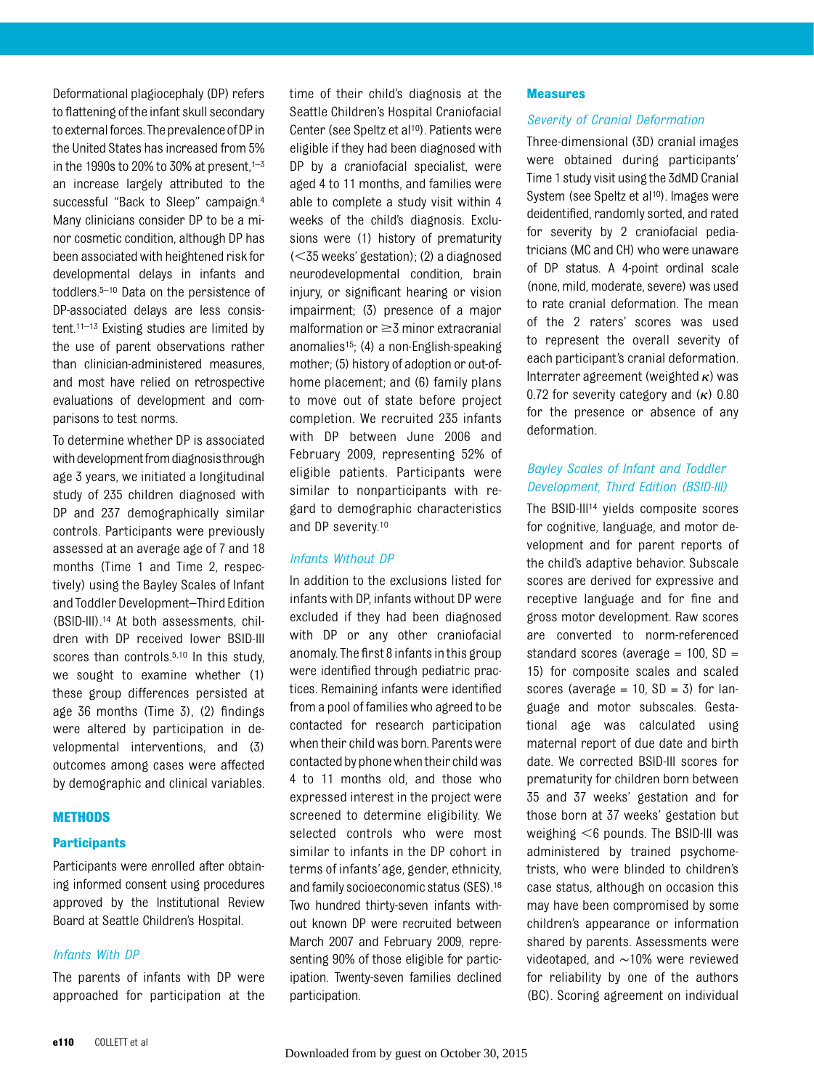Deformational plagiocephaly (DP) refers to flattening of the infant skull secondary to external forces. The prevalence of DP in the United States has increased from 5% in the 1990s to 20% to 30% at present, $1-3$ an increase largely attributed to the successful "Back to Sleep" campaign.4 Many clinicians consider DP to be a minor cosmetic condition, although DP has been associated with heightened risk for developmental delays in infants and toddlers.5–<sup>10</sup> Data on the persistence of DP-associated delays are less consistent.11–<sup>13</sup> Existing studies are limited by the use of parent observations rather than clinician-administered measures, and most have relied on retrospective evaluations of development and comparisons to test norms.

To determine whether DP is associated with development from diagnosis through age 3 years, we initiated a longitudinal study of 235 children diagnosed with DP and 237 demographically similar controls. Participants were previously assessed at an average age of 7 and 18 months (Time 1 and Time 2, respectively) using the Bayley Scales of Infant and Toddler Development–Third Edition (BSID-III).14 At both assessments, children with DP received lower BSID-III scores than controls.<sup>5,10</sup> In this study, we sought to examine whether (1) these group differences persisted at age 36 months (Time 3), (2) findings were altered by participation in developmental interventions, and (3) outcomes among cases were affected by demographic and clinical variables.

#### **METHODS**

#### **Participants**

Participants were enrolled after obtaining informed consent using procedures approved by the Institutional Review Board at Seattle Children's Hospital.

#### Infants With DP

The parents of infants with DP were approached for participation at the time of their child's diagnosis at the Seattle Children's Hospital Craniofacial Center (see Speltz et al<sup>10</sup>). Patients were eligible if they had been diagnosed with DP by a craniofacial specialist, were aged 4 to 11 months, and families were able to complete a study visit within 4 weeks of the child's diagnosis. Exclusions were (1) history of prematurity  $(<$ 35 weeks' gestation); (2) a diagnosed neurodevelopmental condition, brain injury, or significant hearing or vision impairment; (3) presence of a major malformation or  $\geq$ 3 minor extracranial anomalies15; (4) a non-English-speaking mother; (5) history of adoption or out-ofhome placement; and (6) family plans to move out of state before project completion. We recruited 235 infants with DP between June 2006 and February 2009, representing 52% of eligible patients. Participants were similar to nonparticipants with regard to demographic characteristics and DP severity.10

#### Infants Without DP

In addition to the exclusions listed for infants with DP, infants without DP were excluded if they had been diagnosed with DP or any other craniofacial anomaly. The first 8 infants inthis group were identified through pediatric practices. Remaining infants were identified from a pool of families who agreed to be contacted for research participation when their child was born. Parents were contacted by phone when their child was 4 to 11 months old, and those who expressed interest in the project were screened to determine eligibility. We selected controls who were most similar to infants in the DP cohort in terms of infants'age, gender, ethnicity, and family socioeconomic status (SES).16 Two hundred thirty-seven infants without known DP were recruited between March 2007 and February 2009, representing 90% of those eligible for participation. Twenty-seven families declined participation.

#### Measures

#### Severity of Cranial Deformation

Three-dimensional (3D) cranial images were obtained during participants' Time 1 study visit using the 3dMD Cranial System (see Speltz et al<sup>10</sup>). Images were deidentified, randomly sorted, and rated for severity by 2 craniofacial pediatricians (MC and CH) who were unaware of DP status. A 4-point ordinal scale (none, mild, moderate, severe) was used to rate cranial deformation. The mean of the 2 raters' scores was used to represent the overall severity of each participant's cranial deformation. Interrater agreement (weighted  $\kappa$ ) was 0.72 for severity category and  $(\kappa)$  0.80 for the presence or absence of any deformation.

#### Bayley Scales of Infant and Toddler Development, Third Edition (BSID-III)

The BSID-III<sup>14</sup> yields composite scores for cognitive, language, and motor development and for parent reports of the child's adaptive behavior. Subscale scores are derived for expressive and receptive language and for fine and gross motor development. Raw scores are converted to norm-referenced standard scores (average  $= 100$ , SD  $=$ 15) for composite scales and scaled scores (average  $= 10$ ,  $SD = 3$ ) for language and motor subscales. Gestational age was calculated using maternal report of due date and birth date. We corrected BSID-III scores for prematurity for children born between 35 and 37 weeks' gestation and for those born at 37 weeks' gestation but weighing  $<$ 6 pounds. The BSID-III was administered by trained psychometrists, who were blinded to children's case status, although on occasion this may have been compromised by some children's appearance or information shared by parents. Assessments were videotaped, and ∼10% were reviewed for reliability by one of the authors (BC). Scoring agreement on individual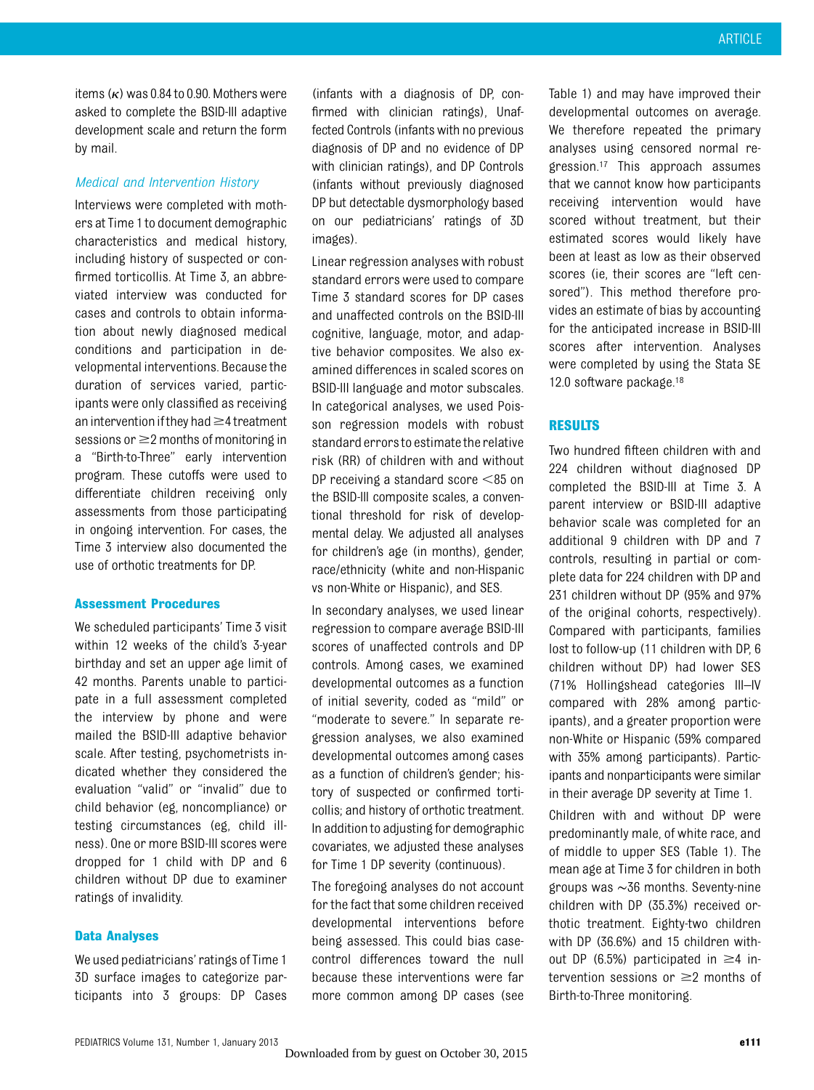items  $(\kappa)$  was 0.84 to 0.90. Mothers were asked to complete the BSID-III adaptive development scale and return the form by mail.

#### Medical and Intervention History

Interviews were completed with mothers at Time 1 to document demographic characteristics and medical history, including history of suspected or confirmed torticollis. At Time 3, an abbreviated interview was conducted for cases and controls to obtain information about newly diagnosed medical conditions and participation in developmental interventions. Because the duration of services varied, participants were only classified as receiving an intervention if they had  $\geq$ 4 treatment sessions or  $\geq$  2 months of monitoring in a "Birth-to-Three" early intervention program. These cutoffs were used to differentiate children receiving only assessments from those participating in ongoing intervention. For cases, the Time 3 interview also documented the use of orthotic treatments for DP.

#### Assessment Procedures

We scheduled participants' Time 3 visit within 12 weeks of the child's 3-year birthday and set an upper age limit of 42 months. Parents unable to participate in a full assessment completed the interview by phone and were mailed the BSID-III adaptive behavior scale. After testing, psychometrists indicated whether they considered the evaluation "valid" or "invalid" due to child behavior (eg, noncompliance) or testing circumstances (eg, child illness). One or more BSID-III scores were dropped for 1 child with DP and 6 children without DP due to examiner ratings of invalidity.

#### Data Analyses

We used pediatricians' ratings of Time 1 3D surface images to categorize participants into 3 groups: DP Cases

(infants with a diagnosis of DP, confirmed with clinician ratings), Unaffected Controls (infants with no previous diagnosis of DP and no evidence of DP with clinician ratings), and DP Controls (infants without previously diagnosed DP but detectable dysmorphology based on our pediatricians' ratings of 3D images).

Linear regression analyses with robust standard errors were used to compare Time 3 standard scores for DP cases and unaffected controls on the BSID-III cognitive, language, motor, and adaptive behavior composites. We also examined differences in scaled scores on BSID-III language and motor subscales. In categorical analyses, we used Poisson regression models with robust standard errorsto estimatethe relative risk (RR) of children with and without DP receiving a standard score  $\leq$ 85 on the BSID-III composite scales, a conventional threshold for risk of developmental delay. We adjusted all analyses for children's age (in months), gender, race/ethnicity (white and non-Hispanic vs non-White or Hispanic), and SES.

In secondary analyses, we used linear regression to compare average BSID-III scores of unaffected controls and DP controls. Among cases, we examined developmental outcomes as a function of initial severity, coded as "mild" or "moderate to severe." In separate regression analyses, we also examined developmental outcomes among cases as a function of children's gender; history of suspected or confirmed torticollis; and history of orthotic treatment. In addition to adjusting for demographic covariates, we adjusted these analyses for Time 1 DP severity (continuous).

The foregoing analyses do not account for the fact that some children received developmental interventions before being assessed. This could bias casecontrol differences toward the null because these interventions were far more common among DP cases (see

Table 1) and may have improved their developmental outcomes on average. We therefore repeated the primary analyses using censored normal regression.17 This approach assumes that we cannot know how participants receiving intervention would have scored without treatment, but their estimated scores would likely have been at least as low as their observed scores (ie, their scores are "left censored"). This method therefore provides an estimate of bias by accounting for the anticipated increase in BSID-III scores after intervention. Analyses were completed by using the Stata SE 12.0 software package.<sup>18</sup>

#### **RESULTS**

Two hundred fifteen children with and 224 children without diagnosed DP completed the BSID-III at Time 3. A parent interview or BSID-III adaptive behavior scale was completed for an additional 9 children with DP and 7 controls, resulting in partial or complete data for 224 children with DP and 231 children without DP (95% and 97% of the original cohorts, respectively). Compared with participants, families lost to follow-up (11 children with DP, 6 children without DP) had lower SES (71% Hollingshead categories III–IV compared with 28% among participants), and a greater proportion were non-White or Hispanic (59% compared with 35% among participants). Participants and nonparticipants were similar in their average DP severity at Time 1.

Children with and without DP were predominantly male, of white race, and of middle to upper SES (Table 1). The mean age at Time 3 for children in both groups was ∼36 months. Seventy-nine children with DP (35.3%) received orthotic treatment. Eighty-two children with DP (36.6%) and 15 children without DP (6.5%) participated in  $\geq$ 4 intervention sessions or  $\geq$  months of Birth-to-Three monitoring.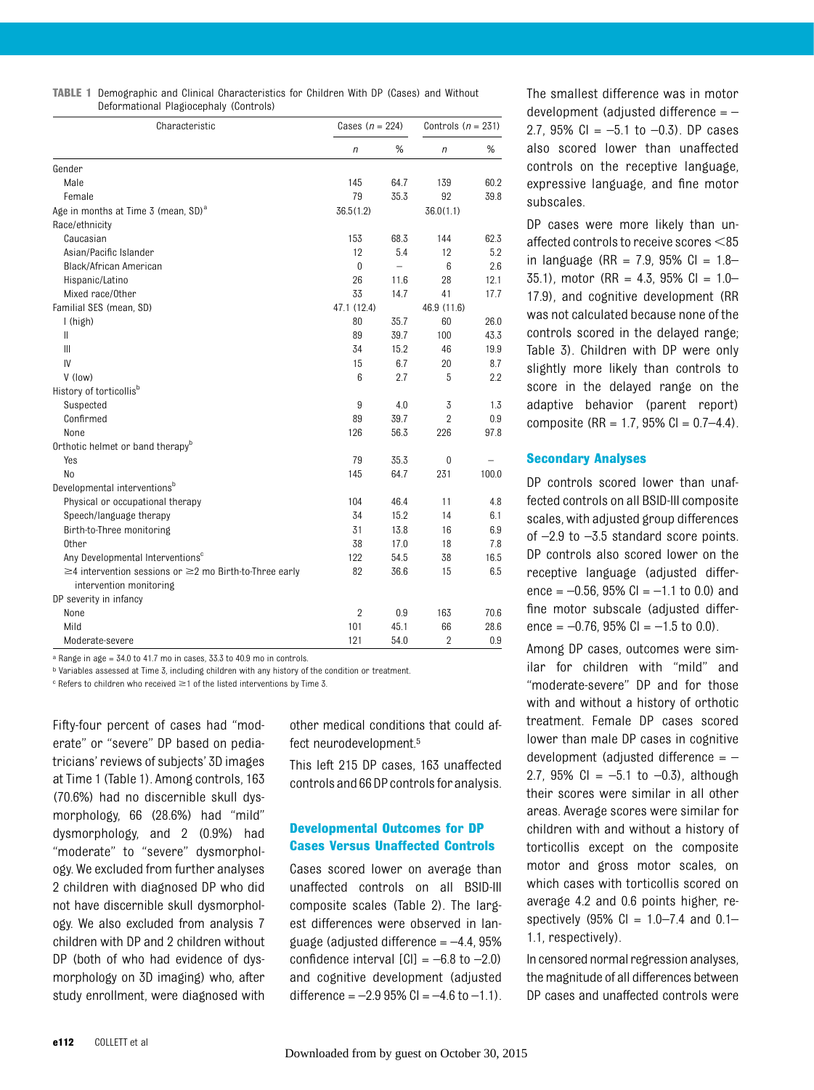TABLE 1 Demographic and Clinical Characteristics for Children With DP (Cases) and Without Deformational Plagiocephaly (Controls)

| Characteristic                                                     | Cases $(n = 224)$ |      | Controls $(n = 231)$ |       |
|--------------------------------------------------------------------|-------------------|------|----------------------|-------|
|                                                                    | n                 | %    | $\sqrt{n}$           | $\%$  |
| Gender                                                             |                   |      |                      |       |
| Male                                                               | 145               | 64.7 | 139                  | 60.2  |
| Female                                                             | 79                | 35.3 | 92                   | 39.8  |
| Age in months at Time 3 (mean, SD) <sup>a</sup>                    | 36.5(1.2)         |      | 36.0(1.1)            |       |
| Race/ethnicity                                                     |                   |      |                      |       |
| Caucasian                                                          | 153               | 68.3 | 144                  | 62.3  |
| Asian/Pacific Islander                                             | 12                | 5.4  | 12                   | 5.2   |
| Black/African American                                             | $\mathbf{0}$      |      | 6                    | 2.6   |
| Hispanic/Latino                                                    | 26                | 11.6 | 28                   | 12.1  |
| Mixed race/Other                                                   | 33                | 14.7 | 41                   | 17.7  |
| Familial SES (mean, SD)                                            | 47.1 (12.4)       |      | 46.9 (11.6)          |       |
| I (high)                                                           | 80                | 35.7 | 60                   | 26.0  |
| Ш                                                                  | 89                | 39.7 | 100                  | 43.3  |
| $\mathbf{III}$                                                     | 34                | 15.2 | 46                   | 19.9  |
| IV                                                                 | 15                | 6.7  | 20                   | 8.7   |
| V (low)                                                            | 6                 | 2.7  | 5                    | 2.2   |
| History of torticollis <sup>b</sup>                                |                   |      |                      |       |
| Suspected                                                          | 9                 | 4.0  | 3                    | 1.3   |
| Confirmed                                                          | 89                | 39.7 | $\overline{2}$       | 0.9   |
| None                                                               | 126               | 56.3 | 226                  | 97.8  |
| Orthotic helmet or band therapy <sup>b</sup>                       |                   |      |                      |       |
| Yes                                                                | 79                | 35.3 | $\Omega$             |       |
| No                                                                 | 145               | 64.7 | 231                  | 100.0 |
| Developmental interventions <sup>b</sup>                           |                   |      |                      |       |
| Physical or occupational therapy                                   | 104               | 46.4 | 11                   | 4.8   |
| Speech/language therapy                                            | 34                | 15.2 | 14                   | 6.1   |
| Birth-to-Three monitoring                                          | 31                | 13.8 | 16                   | 6.9   |
| 0ther                                                              | 38                | 17.0 | 18                   | 7.8   |
| Any Developmental Interventions <sup>c</sup>                       | 122               | 54.5 | 38                   | 16.5  |
| $\geq$ 4 intervention sessions or $\geq$ 2 mo Birth-to-Three early | 82                | 36.6 | 15                   | 6.5   |
| intervention monitoring                                            |                   |      |                      |       |
| DP severity in infancy                                             |                   |      |                      |       |
| None                                                               | $\overline{2}$    | 0.9  | 163                  | 70.6  |
| Mild                                                               | 101               | 45.1 | 66                   | 28.6  |
| Moderate-severe                                                    | 121               | 54.0 | $\overline{2}$       | 0.9   |

 $a$  Range in age =  $34.0$  to  $41.7$  mo in cases,  $33.3$  to  $40.9$  mo in controls.

b Variables assessed at Time 3, including children with any history of the condition or treatment.

 $\epsilon$  Refers to children who received  $\geq$  1 of the listed interventions by Time 3.

Fifty-four percent of cases had "moderate" or "severe" DP based on pediatricians'reviews of subjects' 3D images at Time 1 (Table 1). Among controls, 163 (70.6%) had no discernible skull dysmorphology, 66 (28.6%) had "mild" dysmorphology, and 2 (0.9%) had "moderate" to "severe" dysmorphology. We excluded from further analyses 2 children with diagnosed DP who did not have discernible skull dysmorphology. We also excluded from analysis 7 children with DP and 2 children without DP (both of who had evidence of dysmorphology on 3D imaging) who, after study enrollment, were diagnosed with

other medical conditions that could affect neurodevelopment.5

This left 215 DP cases, 163 unaffected controls and 66 DP controlsforanalysis.

#### Developmental Outcomes for DP Cases Versus Unaffected Controls

Cases scored lower on average than unaffected controls on all BSID-III composite scales (Table 2). The largest differences were observed in language (adjusted difference  $=-4.4, 95\%$ confidence interval  $[CI] = -6.8$  to  $-2.0$ ) and cognitive development (adjusted difference =  $-2.995\%$  CI =  $-4.6$  to  $-1.1$ ).

The smallest difference was in motor development (adjusted difference = – 2.7, 95% CI =  $-5.1$  to  $-0.3$ ). DP cases also scored lower than unaffected controls on the receptive language, expressive language, and fine motor subscales.

DP cases were more likely than unaffected controls to receive scores  $<$ 85 in language (RR = 7.9, 95% Cl =  $1.8-$ 35.1), motor (RR = 4.3, 95% Cl =  $1.0-$ 17.9), and cognitive development (RR was not calculated because none of the controls scored in the delayed range; Table 3). Children with DP were only slightly more likely than controls to score in the delayed range on the adaptive behavior (parent report) composite (RR = 1.7, 95% Cl =  $0.7-4.4$ ).

#### Secondary Analyses

DP controls scored lower than unaffected controls on all BSID-III composite scales, with adjusted group differences of –2.9 to –3.5 standard score points. DP controls also scored lower on the receptive language (adjusted difference =  $-0.56$ , 95% Cl =  $-1.1$  to 0.0) and fine motor subscale (adjusted difference =  $-0.76$ , 95% Cl =  $-1.5$  to 0.0).

Among DP cases, outcomes were similar for children with "mild" and "moderate-severe" DP and for those with and without a history of orthotic treatment. Female DP cases scored lower than male DP cases in cognitive development (adjusted difference  $=$   $-$ 2.7, 95% CI =  $-5.1$  to  $-0.3$ ), although their scores were similar in all other areas. Average scores were similar for children with and without a history of torticollis except on the composite motor and gross motor scales, on which cases with torticollis scored on average 4.2 and 0.6 points higher, respectively (95%  $Cl = 1.0 - 7.4$  and  $0.1 -$ 1.1, respectively).

In censored normal regression analyses, the magnitude of all differences between DP cases and unaffected controls were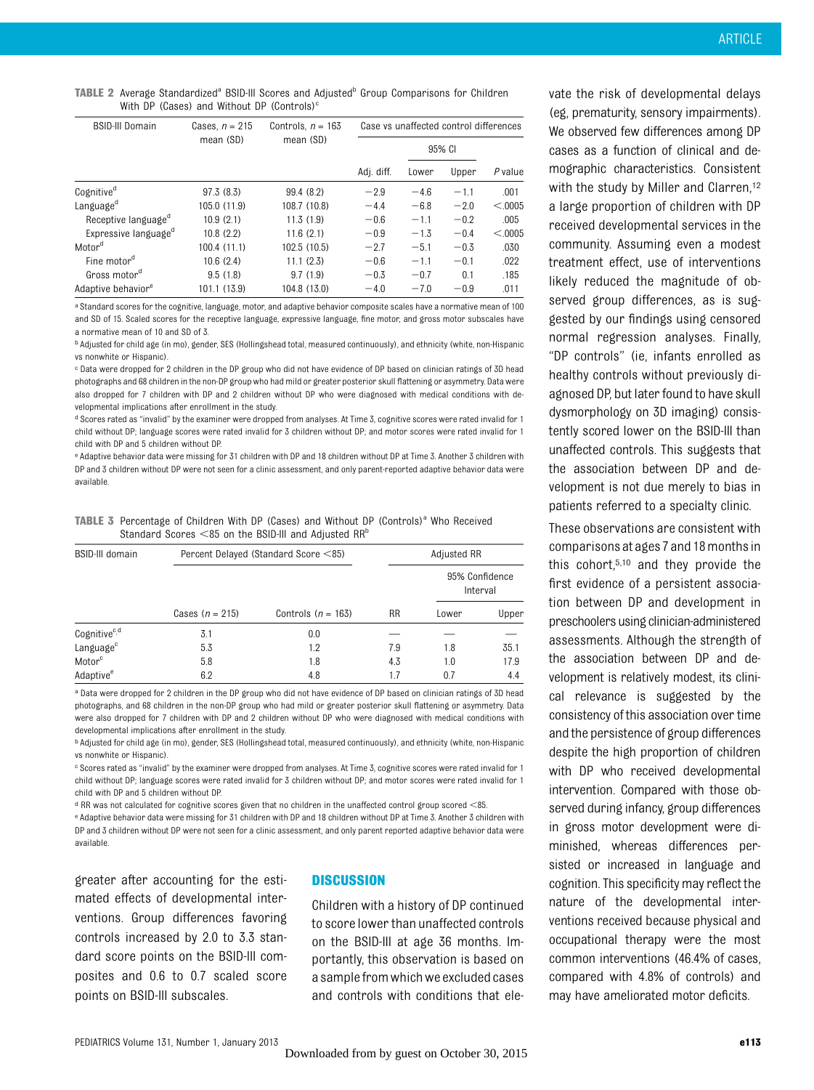TABLE 2 Average Standardized<sup>a</sup> BSID-III Scores and Adjusted<sup>b</sup> Group Comparisons for Children With DP (Cases) and Without DP (Controls) $c$ 

| <b>BSID-III Domain</b>           | Cases, $n = 215$<br>mean (SD) | Controls. $n = 163$<br>mean (SD) | Case vs unaffected control differences |        |        |          |
|----------------------------------|-------------------------------|----------------------------------|----------------------------------------|--------|--------|----------|
|                                  |                               |                                  |                                        | 95% CI |        |          |
|                                  |                               |                                  | Adj. diff.                             | Lower  | Upper  | P value  |
| Cognitive <sup>d</sup>           | 97.3 (8.3)                    | 99.4 (8.2)                       | $-2.9$                                 | $-4.6$ | $-1.1$ | .001     |
| Language <sup>d</sup>            | 105.0 (11.9)                  | 108.7 (10.8)                     | $-4.4$                                 | $-6.8$ | $-2.0$ | < 0.0005 |
| Receptive language <sup>a</sup>  | 10.9(2.1)                     | 11.3(1.9)                        | $-0.6$                                 | $-1.1$ | $-0.2$ | .005     |
| Expressive language <sup>d</sup> | 10.8(2.2)                     | 11.6(2.1)                        | $-0.9$                                 | $-1.3$ | $-0.4$ | < 0.0005 |
| Motor <sup>d</sup>               | 100.4(11.1)                   | 102.5 (10.5)                     | $-2.7$                                 | $-5.1$ | $-0.3$ | .030     |
| Fine motor <sup>d</sup>          | 10.6(2.4)                     | 11.1(2.3)                        | $-0.6$                                 | $-1.1$ | $-0.1$ | .022     |
| Gross motor <sup>d</sup>         | 9.5(1.8)                      | 9.7(1.9)                         | $-0.3$                                 | $-0.7$ | 0.1    | .185     |
| Adaptive behavior <sup>e</sup>   | 101.1 (13.9)                  | 104.8 (13.0)                     | $-4.0$                                 | $-7.0$ | $-0.9$ | .011     |

a Standard scores for the cognitive, language, motor, and adaptive behavior composite scales have a normative mean of 100 and SD of 15. Scaled scores for the receptive language, expressive language, fine motor, and gross motor subscales have a normative mean of 10 and SD of 3.

b Adjusted for child age (in mo), gender, SES (Hollingshead total, measured continuously), and ethnicity (white, non-Hispanic vs nonwhite or Hispanic).

c Data were dropped for 2 children in the DP group who did not have evidence of DP based on clinician ratings of 3D head photographs and 68 children in the non-DP group who had mild or greater posterior skull flattening or asymmetry. Data were also dropped for 7 children with DP and 2 children without DP who were diagnosed with medical conditions with developmental implications after enrollment in the study.

d Scores rated as "invalid" by the examiner were dropped from analyses. At Time 3, cognitive scores were rated invalid for 1 child without DP; language scores were rated invalid for 3 children without DP; and motor scores were rated invalid for 1 child with DP and 5 children without DP.

e Adaptive behavior data were missing for 31 children with DP and 18 children without DP at Time 3. Another 3 children with DP and 3 children without DP were not seen for a clinic assessment, and only parent-reported adaptive behavior data were available.

| <b>TABLE 3</b> Percentage of Children With DP (Cases) and Without DP (Controls) <sup>a</sup> Who Received |
|-----------------------------------------------------------------------------------------------------------|
| Standard Scores $<$ 85 on the BSID-III and Adjusted RR $^{\circ}$                                         |

| <b>BSID-III domain</b>   |                   | Percent Delayed (Standard Score <85) |           | Adjusted RR                |       |  |
|--------------------------|-------------------|--------------------------------------|-----------|----------------------------|-------|--|
|                          |                   |                                      | <b>RR</b> | 95% Confidence<br>Interval |       |  |
|                          | Cases $(n = 215)$ | Controls $(n = 163)$                 |           | Lower                      | Upper |  |
| Cognitive <sup>c,d</sup> | 3.1               | 0.0                                  |           |                            |       |  |
| Language <sup>c</sup>    | 5.3               | 1.2                                  | 7.9       | 1.8                        | 35.1  |  |
| Motor <sup>c</sup>       | 5.8               | 1.8                                  | 4.3       | 1.0                        | 17.9  |  |
| Adaptive <sup>e</sup>    | 6.2               | 4.8                                  | 1.7       | 0.7                        | 4.4   |  |

a Data were dropped for 2 children in the DP group who did not have evidence of DP based on clinician ratings of 3D head photographs, and 68 children in the non-DP group who had mild or greater posterior skull flattening or asymmetry. Data were also dropped for 7 children with DP and 2 children without DP who were diagnosed with medical conditions with developmental implications after enrollment in the study.

b Adjusted for child age (in mo), gender, SES (Hollingshead total, measured continuously), and ethnicity (white, non-Hispanic vs nonwhite or Hispanic).

c Scores rated as "invalid" by the examiner were dropped from analyses. At Time 3, cognitive scores were rated invalid for 1 child without DP; language scores were rated invalid for 3 children without DP; and motor scores were rated invalid for 1 child with DP and 5 children without DP.

 $d$  RR was not calculated for cognitive scores given that no children in the unaffected control group scored  $<$ 85.

e Adaptive behavior data were missing for 31 children with DP and 18 children without DP at Time 3. Another 3 children with DP and 3 children without DP were not seen for a clinic assessment, and only parent reported adaptive behavior data were available.

greater after accounting for the estimated effects of developmental interventions. Group differences favoring controls increased by 2.0 to 3.3 standard score points on the BSID-III composites and 0.6 to 0.7 scaled score points on BSID-III subscales.

#### **DISCUSSION**

Children with a history of DP continued to score lower than unaffected controls on the BSID-III at age 36 months. Importantly, this observation is based on a sample from which we excluded cases and controls with conditions that ele-

vate the risk of developmental delays (eg, prematurity, sensory impairments). We observed few differences among DP cases as a function of clinical and demographic characteristics. Consistent with the study by Miller and Clarren,<sup>12</sup> a large proportion of children with DP received developmental services in the community. Assuming even a modest treatment effect, use of interventions likely reduced the magnitude of observed group differences, as is suggested by our findings using censored normal regression analyses. Finally, "DP controls" (ie, infants enrolled as healthy controls without previously diagnosed DP, but later found to have skull dysmorphology on 3D imaging) consistently scored lower on the BSID-III than unaffected controls. This suggests that the association between DP and development is not due merely to bias in patients referred to a specialty clinic.

These observations are consistent with comparisons at ages 7 and 18 months in this cohort,5,10 and they provide the first evidence of a persistent association between DP and development in preschoolers using clinician-administered assessments. Although the strength of the association between DP and development is relatively modest, its clinical relevance is suggested by the consistency of this association over time and the persistence of group differences despite the high proportion of children with DP who received developmental intervention. Compared with those observed during infancy, group differences in gross motor development were diminished, whereas differences persisted or increased in language and cognition. This specificity may reflect the nature of the developmental interventions received because physical and occupational therapy were the most common interventions (46.4% of cases, compared with 4.8% of controls) and may have ameliorated motor deficits.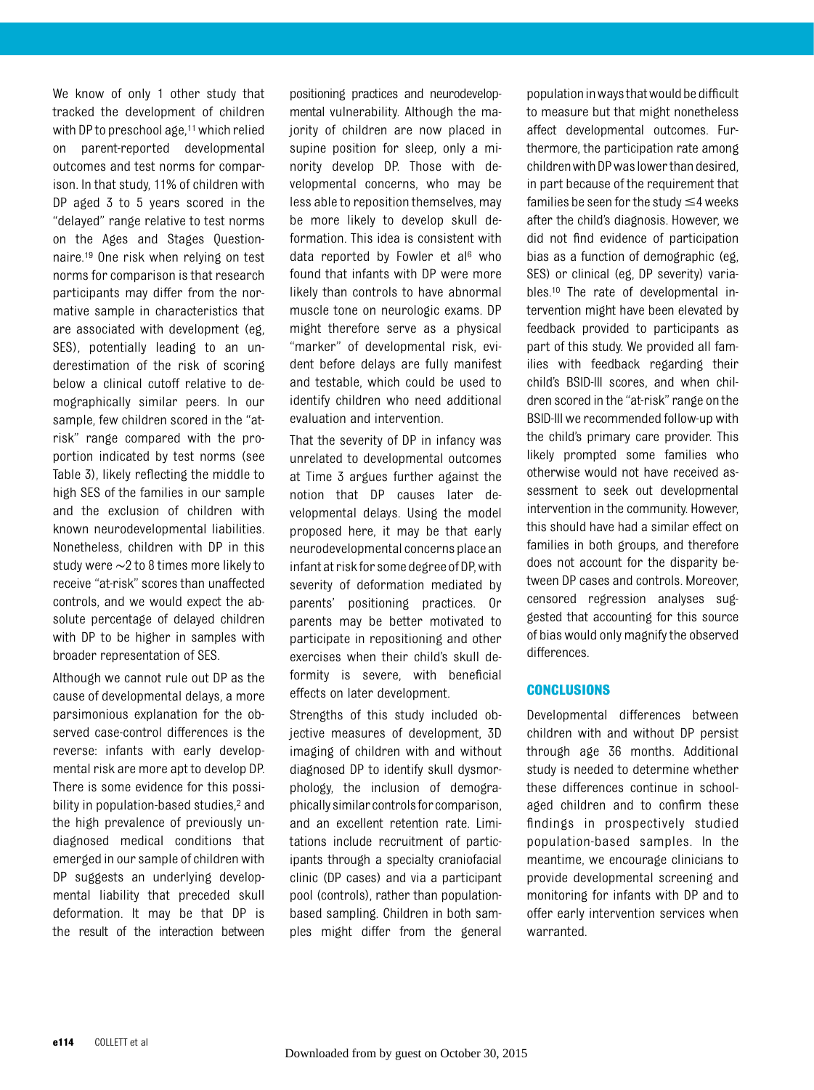We know of only 1 other study that tracked the development of children with DP to preschool age, $11$  which relied on parent-reported developmental outcomes and test norms for comparison. In that study, 11% of children with DP aged 3 to 5 years scored in the "delayed" range relative to test norms on the Ages and Stages Questionnaire.19 One risk when relying on test norms for comparison is that research participants may differ from the normative sample in characteristics that are associated with development (eg, SES), potentially leading to an underestimation of the risk of scoring below a clinical cutoff relative to demographically similar peers. In our sample, few children scored in the "atrisk" range compared with the proportion indicated by test norms (see Table 3), likely reflecting the middle to high SES of the families in our sample and the exclusion of children with known neurodevelopmental liabilities. Nonetheless, children with DP in this study were ∼2 to 8 times more likely to receive "at-risk" scores than unaffected controls, and we would expect the absolute percentage of delayed children with DP to be higher in samples with broader representation of SES.

Although we cannot rule out DP as the cause of developmental delays, a more parsimonious explanation for the observed case-control differences is the reverse: infants with early developmental risk are more apt to develop DP. There is some evidence for this possibility in population-based studies,<sup>2</sup> and the high prevalence of previously undiagnosed medical conditions that emerged in our sample of children with DP suggests an underlying developmental liability that preceded skull deformation. It may be that DP is the result of the interaction between

positioning practices and neurodevelopmental vulnerability. Although the majority of children are now placed in supine position for sleep, only a minority develop DP. Those with developmental concerns, who may be less able to reposition themselves, may be more likely to develop skull deformation. This idea is consistent with data reported by Fowler et al<sup>6</sup> who found that infants with DP were more likely than controls to have abnormal muscle tone on neurologic exams. DP might therefore serve as a physical "marker" of developmental risk, evident before delays are fully manifest and testable, which could be used to identify children who need additional evaluation and intervention.

That the severity of DP in infancy was unrelated to developmental outcomes at Time 3 argues further against the notion that DP causes later developmental delays. Using the model proposed here, it may be that early neurodevelopmental concerns place an infant at riskfor some degree of DP, with severity of deformation mediated by parents' positioning practices. Or parents may be better motivated to participate in repositioning and other exercises when their child's skull deformity is severe, with beneficial effects on later development.

Strengths of this study included objective measures of development, 3D imaging of children with and without diagnosed DP to identify skull dysmorphology, the inclusion of demographically similarcontrolsforcomparison, and an excellent retention rate. Limitations include recruitment of participants through a specialty craniofacial clinic (DP cases) and via a participant pool (controls), rather than populationbased sampling. Children in both samples might differ from the general

populationinwaysthatwouldbedifficult to measure but that might nonetheless affect developmental outcomes. Furthermore, the participation rate among children with DP was lower than desired, in part because of the requirement that families be seen for the study  $\leq$ 4 weeks after the child's diagnosis. However, we did not find evidence of participation bias as a function of demographic (eg, SES) or clinical (eg, DP severity) variables.10 The rate of developmental intervention might have been elevated by feedback provided to participants as part of this study. We provided all families with feedback regarding their child's BSID-III scores, and when children scored in the "at-risk" range on the BSID-III we recommended follow-up with the child's primary care provider. This likely prompted some families who otherwise would not have received assessment to seek out developmental intervention in the community. However, this should have had a similar effect on families in both groups, and therefore does not account for the disparity between DP cases and controls. Moreover, censored regression analyses suggested that accounting for this source of bias would only magnify the observed differences.

#### **CONCLUSIONS**

Developmental differences between children with and without DP persist through age 36 months. Additional study is needed to determine whether these differences continue in schoolaged children and to confirm these findings in prospectively studied population-based samples. In the meantime, we encourage clinicians to provide developmental screening and monitoring for infants with DP and to offer early intervention services when warranted.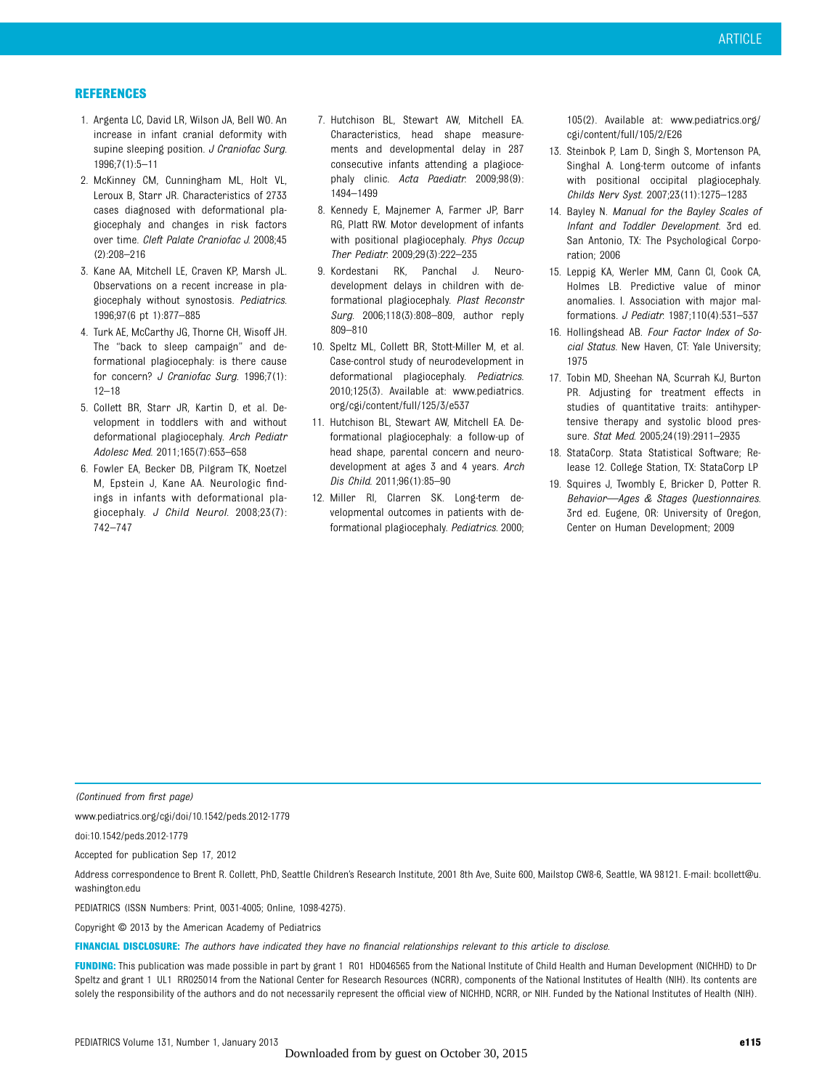#### **REFERENCES**

- 1. Argenta LC, David LR, Wilson JA, Bell WO. An increase in infant cranial deformity with supine sleeping position. J Craniofac Surg. 1996;7(1):5–11
- 2. McKinney CM, Cunningham ML, Holt VL, Leroux B, Starr JR. Characteristics of 2733 cases diagnosed with deformational plagiocephaly and changes in risk factors over time. Cleft Palate Craniofac J. 2008;45 (2):208–216
- 3. Kane AA, Mitchell LE, Craven KP, Marsh JL. Observations on a recent increase in plagiocephaly without synostosis. Pediatrics. 1996;97(6 pt 1):877–885
- 4. Turk AE, McCarthy JG, Thorne CH, Wisoff JH. The "back to sleep campaign" and deformational plagiocephaly: is there cause for concern? J Craniofac Surg. 1996;7(1): 12–18
- 5. Collett BR, Starr JR, Kartin D, et al. Development in toddlers with and without deformational plagiocephaly. Arch Pediatr Adolesc Med. 2011;165(7):653–658
- 6. Fowler EA, Becker DB, Pilgram TK, Noetzel M, Epstein J, Kane AA. Neurologic findings in infants with deformational plagiocephaly. J Child Neurol. 2008;23(7): 742–747
- 7. Hutchison BL, Stewart AW, Mitchell EA. Characteristics, head shape measurements and developmental delay in 287 consecutive infants attending a plagiocephaly clinic. Acta Paediatr. 2009;98(9): 1494–1499
- 8. Kennedy E, Majnemer A, Farmer JP, Barr RG, Platt RW. Motor development of infants with positional plagiocephaly. Phys Occup Ther Pediatr. 2009;29(3):222–235
- 9. Kordestani RK, Panchal J. Neurodevelopment delays in children with deformational plagiocephaly. Plast Reconstr Surg. 2006;118(3):808–809, author reply 809–810
- 10. Speltz ML, Collett BR, Stott-Miller M, et al. Case-control study of neurodevelopment in deformational plagiocephaly. Pediatrics. 2010;125(3). Available at: www.pediatrics. org/cgi/content/full/125/3/e537
- 11. Hutchison BL, Stewart AW, Mitchell EA. Deformational plagiocephaly: a follow-up of head shape, parental concern and neurodevelopment at ages 3 and 4 years. Arch Dis Child. 2011;96(1):85–90
- 12. Miller RI, Clarren SK. Long-term developmental outcomes in patients with deformational plagiocephaly. Pediatrics. 2000;

105(2). Available at: www.pediatrics.org/ cgi/content/full/105/2/E26

- 13. Steinbok P, Lam D, Singh S, Mortenson PA, Singhal A. Long-term outcome of infants with positional occipital plagiocephaly. Childs Nerv Syst. 2007;23(11):1275–1283
- 14. Bayley N. Manual for the Bayley Scales of Infant and Toddler Development. 3rd ed. San Antonio, TX: The Psychological Corporation; 2006
- 15. Leppig KA, Werler MM, Cann CI, Cook CA, Holmes LB. Predictive value of minor anomalies. I. Association with major malformations. J Pediatr. 1987;110(4):531–537
- 16. Hollingshead AB. Four Factor Index of Social Status. New Haven, CT: Yale University; 1975
- 17. Tobin MD, Sheehan NA, Scurrah KJ, Burton PR. Adjusting for treatment effects in studies of quantitative traits: antihypertensive therapy and systolic blood pressure. Stat Med. 2005;24(19):2911–2935
- 18. StataCorp. Stata Statistical Software; Release 12. College Station, TX: StataCorp LP
- 19. Squires J, Twombly E, Bricker D, Potter R. Behavior—Ages & Stages Questionnaires. 3rd ed. Eugene, OR: University of Oregon, Center on Human Development; 2009

(Continued from first page)

www.pediatrics.org/cgi/doi/10.1542/peds.2012-1779

doi:10.1542/peds.2012-1779

Accepted for publication Sep 17, 2012

Address correspondence to Brent R. Collett, PhD, Seattle Children's Research Institute, 2001 8th Ave, Suite 600, Mailstop CW8-6, Seattle, WA 98121. E-mail: [bcollett@u.](mailto:bcollett@u.washington.edu) [washington.edu](mailto:bcollett@u.washington.edu)

PEDIATRICS (ISSN Numbers: Print, 0031-4005; Online, 1098-4275).

Copyright © 2013 by the American Academy of Pediatrics

FINANCIAL DISCLOSURE: The authors have indicated they have no financial relationships relevant to this article to disclose.

FUNDING: This publication was made possible in part by grant 1 R01 HD046565 from the National Institute of Child Health and Human Development (NICHHD) to Dr Speltz and grant 1 UL1 RR025014 from the National Center for Research Resources (NCRR), components of the National Institutes of Health (NIH). Its contents are solely the responsibility of the authors and do not necessarily represent the official view of NICHHD, NCRR, or NIH. Funded by the National Institutes of Health (NIH).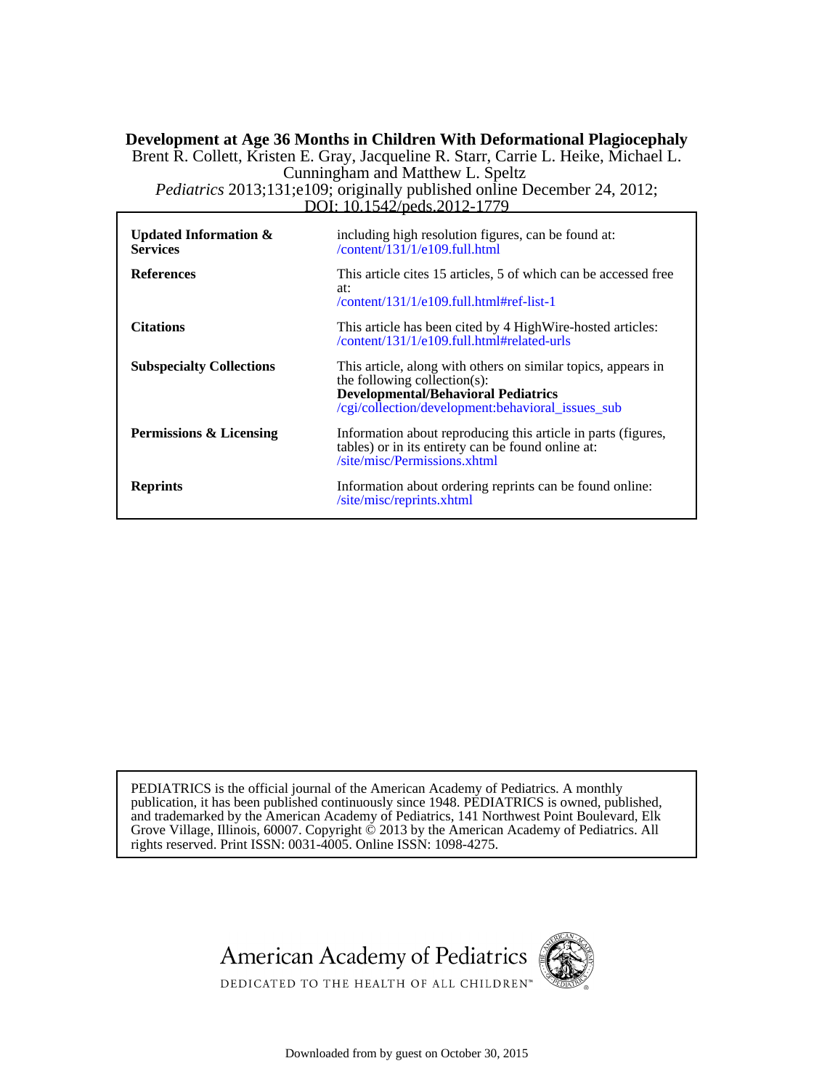#### DOI: 10.1542/peds.2012-1779 *Pediatrics* 2013;131;e109; originally published online December 24, 2012; Cunningham and Matthew L. Speltz Brent R. Collett, Kristen E. Gray, Jacqueline R. Starr, Carrie L. Heike, Michael L. **Development at Age 36 Months in Children With Deformational Plagiocephaly**

| Updated Information $\&$<br><b>Services</b> | including high resolution figures, can be found at:<br>$\/$ content $/$ 131 $/$ 1 $/$ e109.full.html                                                                                             |
|---------------------------------------------|--------------------------------------------------------------------------------------------------------------------------------------------------------------------------------------------------|
| <b>References</b>                           | This article cites 15 articles, 5 of which can be accessed free<br>at:<br>$\/$ content $/131/1/e109$ .full.html#ref-list-1                                                                       |
| <b>Citations</b>                            | This article has been cited by 4 High Wire-hosted articles:<br>/content/131/1/e109.full.html#related-urls                                                                                        |
| <b>Subspecialty Collections</b>             | This article, along with others on similar topics, appears in<br>the following collection(s):<br><b>Developmental/Behavioral Pediatrics</b><br>/cgi/collection/development:behavioral_issues_sub |
| Permissions & Licensing                     | Information about reproducing this article in parts (figures,<br>tables) or in its entirety can be found online at:<br>/site/misc/Permissions(xhtml)                                             |
| <b>Reprints</b>                             | Information about ordering reprints can be found online:<br>$\sqrt{\text{site}}$ /misc/reprints.xhtml                                                                                            |

rights reserved. Print ISSN: 0031-4005. Online ISSN: 1098-4275. Grove Village, Illinois, 60007. Copyright  $\acute{\text{o}}$  2013 by the American Academy of Pediatrics. All and trademarked by the American Academy of Pediatrics, 141 Northwest Point Boulevard, Elk publication, it has been published continuously since 1948. PEDIATRICS is owned, published, PEDIATRICS is the official journal of the American Academy of Pediatrics. A monthly





DEDICATED TO THE HEALTH OF ALL CHILDREN<sup>™</sup>